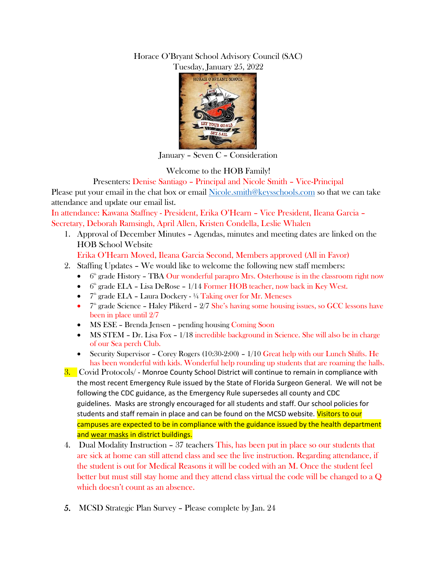## Horace O'Bryant School Advisory Council (SAC) Tuesday, January 25, 2022



January – Seven C – Consideration

Welcome to the HOB Family!

Presenters: Denise Santiago – Principal and Nicole Smith – Vice-Principal

Please put your email in the chat box or email [Nicole.smith@keysschools.com](mailto:Nicole.smith@keysschools.com) so that we can take attendance and update our email list.

In attendance: Kawana Staffney - President, Erika O'Hearn – Vice President, Ileana Garcia – Secretary, Deborah Ramsingh, April Allen, Kristen Condella, Leslie Whalen

1. Approval of December Minutes – Agendas, minutes and meeting dates are linked on the HOB School Website

Erika O'Hearn Moved, Ileana Garcia Second, Members approved (All in Favor)

- 2. Staffing Updates We would like to welcome the following new staff members:
	- $\bullet$  $6<sup>th</sup>$  grade History – TBA Our wonderful parapro Mrs. Osterhouse is in the classroom right now
	- $\bullet$  6<sup>th</sup> grade ELA Lisa DeRose 1/14 Former HOB teacher, now back in Key West.
	- $7^{\text{th}}$  grade ELA Laura Dockery ¼ Taking over for Mr. Meneses
	- $\bullet$  7<sup>th</sup> grade Science Haley Plikerd 2/7 She's having some housing issues, so GCC lessons have been in place until 2/7
	- MS ESE Brenda Jensen pending housing Coming Soon
	- $\bullet$  MS STEM Dr. Lisa Fox 1/18 incredible background in Science. She will also be in charge of our Sea perch Club.
	- Security Supervisor Corey Rogers (10:30-2:00) 1/10 Great help with our Lunch Shifts. He has been wonderful with kids. Wonderful help rounding up students that are roaming the halls.
- 3. Covid Protocols/ Monroe County School District will continue to remain in compliance with the most recent Emergency Rule issued by the State of Florida Surgeon General. We will not be following the CDC guidance, as the Emergency Rule supersedes all county and CDC guidelines. Masks are strongly encouraged for all students and staff. Our school policies for students and staff remain in place and can be found on the MCSD website. Visitors to our campuses are expected to be in compliance with the guidance issued by the health department and wear masks in district buildings.
- 4. Dual Modality Instruction 37 teachers This, has been put in place so our students that are sick at home can still attend class and see the live instruction. Regarding attendance, if the student is out for Medical Reasons it will be coded with an M. Once the student feel better but must still stay home and they attend class virtual the code will be changed to a Q which doesn't count as an absence.
- 5. MCSD Strategic Plan Survey Please complete by Jan. 24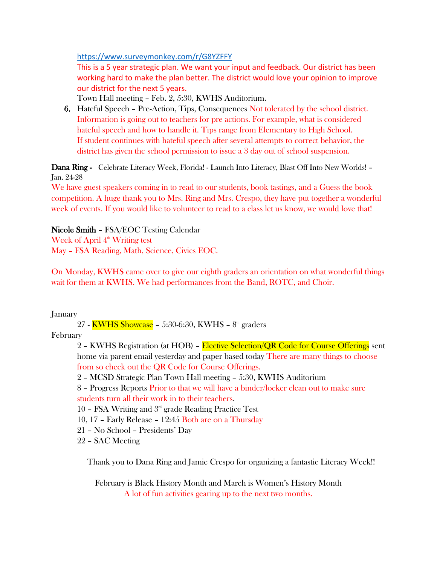[https://www.surveymonkey.com/r/G8YZFFY](https://nam10.safelinks.protection.outlook.com/?url=https%3A%2F%2Fwww.surveymonkey.com%2Fr%2FG8YZFFY&data=04%7C01%7CDenise.Santiago%40KeysSchools.com%7C59318e41e2954afd04fb08d9d53717ca%7C986c4bcaa6704966820688547840978e%7C0%7C0%7C637775254885206801%7CUnknown%7CTWFpbGZsb3d8eyJWIjoiMC4wLjAwMDAiLCJQIjoiV2luMzIiLCJBTiI6Ik1haWwiLCJXVCI6Mn0%3D%7C3000&sdata=4mfgsHcDCVillBuTUEM1IQLzXWus2oxnEEbRSkHgf9M%3D&reserved=0)

This is a 5 year strategic plan. We want your input and feedback. Our district has been working hard to make the plan better. The district would love your opinion to improve our district for the next 5 years.

Town Hall meeting – Feb. 2, 5:30, KWHS Auditorium.

6. Hateful Speech – Pre-Action, Tips, Consequences Not tolerated by the school district. Information is going out to teachers for pre actions. For example, what is considered hateful speech and how to handle it. Tips range from Elementary to High School. If student continues with hateful speech after several attempts to correct behavior, the district has given the school permission to issue a 3 day out of school suspension.

Dana Ring - Celebrate Literacy Week, Florida! - Launch Into Literacy, Blast Off Into New Worlds! -Jan. 24-28

We have guest speakers coming in to read to our students, book tastings, and a Guess the book competition. A huge thank you to Mrs. Ring and Mrs. Crespo, they have put together a wonderful week of events. If you would like to volunteer to read to a class let us know, we would love that!

Nicole Smith – FSA/EOC Testing Calendar Week of April  $4<sup>th</sup>$  Writing test May – FSA Reading, Math, Science, Civics EOC.

On Monday, KWHS came over to give our eighth graders an orientation on what wonderful things wait for them at KWHS. We had performances from the Band, ROTC, and Choir.

January

27 - <mark>KWHS Showcase</mark> – 5:30-6:30, KWHS – 8<sup>th</sup> graders

## February

2 – KWHS Registration (at HOB) – Elective Selection/QR Code for Course Offerings sent home via parent email yesterday and paper based today There are many things to choose from so check out the QR Code for Course Offerings.

2 – MCSD Strategic Plan Town Hall meeting – 5:30, KWHS Auditorium

8 – Progress Reports Prior to that we will have a binder/locker clean out to make sure students turn all their work in to their teachers.

10 - FSA Writing and  $3<sup>rd</sup>$  grade Reading Practice Test

10, 17 – Early Release – 12:45 Both are on a Thursday

21 – No School – Presidents' Day

22 – SAC Meeting

Thank you to Dana Ring and Jamie Crespo for organizing a fantastic Literacy Week!!

February is Black History Month and March is Women's History Month A lot of fun activities gearing up to the next two months.